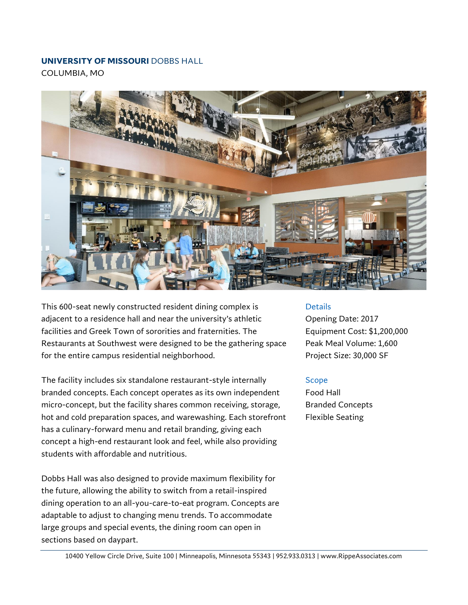## **UNIVERSITY OF MISSOURI** DOBBS HALL

COLUMBIA, MO



This 600-seat newly constructed resident dining complex is adjacent to a residence hall and near the university's athletic facilities and Greek Town of sororities and fraternities. The Restaurants at Southwest were designed to be the gathering space for the entire campus residential neighborhood.

The facility includes six standalone restaurant-style internally branded concepts. Each concept operates as its own independent micro-concept, but the facility shares common receiving, storage, hot and cold preparation spaces, and warewashing. Each storefront has a culinary-forward menu and retail branding, giving each concept a high-end restaurant look and feel, while also providing students with affordable and nutritious.

Dobbs Hall was also designed to provide maximum flexibility for the future, allowing the ability to switch from a retail-inspired dining operation to an all-you-care-to-eat program. Concepts are adaptable to adjust to changing menu trends. To accommodate large groups and special events, the dining room can open in sections based on daypart.

## Details

Opening Date: 2017 Equipment Cost: \$1,200,000 Peak Meal Volume: 1,600 Project Size: 30,000 SF

## Scope

Food Hall Branded Concepts Flexible Seating

10400 Yellow Circle Drive, Suite 100 | Minneapolis, Minnesota 55343 | 952.933.0313 | www.RippeAssociates.com